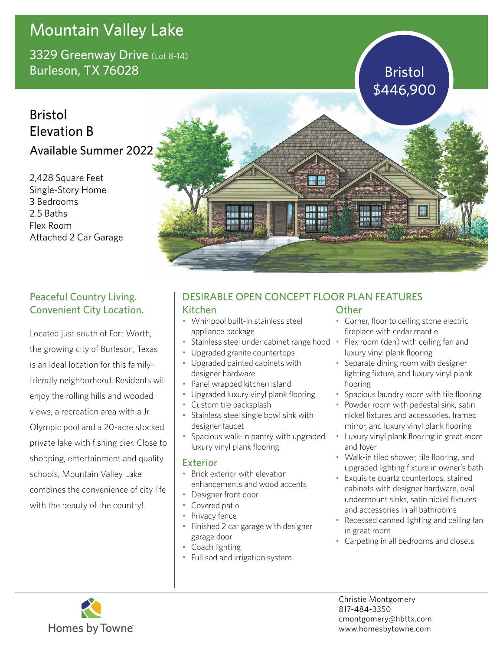# Mountain Valley Lake

3329 Greenway Drive (Lot 8-14) Burleson, TX 76028 Burleson, TX 76028

## **Bristol** Elevation B Available Summer 2022

2,428 Square Feet Single-Story Home 3 Bedrooms 2.5 Baths Flex Room Attached 2 Car Garage



### Peaceful Country Living. Convenient City Location.

Located just south of Fort Worth, the growing city of Burleson, Texas is an ideal location for this familyfriendly neighborhood. Residents will enjoy the rolling hills and wooded views, a recreation area with a Jr. Olympic pool and a 20-acre stocked private lake with fishing pier. Close to shopping, entertainment and quality schools, Mountain Valley Lake combines the convenience of city life with the beauty of the country!

### DESIRABLE OPEN CONCEPT FLOOR PLAN FEATURES

#### Kitchen

- Whirlpool built-in stainless steel appliance package
- Stainless steel under cabinet range hood Flex room (den) with ceiling fan and
- Upgraded granite countertops
- Upgraded painted cabinets with designer hardware
- Panel wrapped kitchen island
- Upgraded luxury vinyl plank flooring
- Custom tile backsplash
- Stainless steel single bowl sink with designer faucet
- Spacious walk-in pantry with upgraded luxury vinyl plank flooring

#### Exterior

- Brick exterior with elevation enhancements and wood accents
- Designer front door
- Covered patio
- Privacy fence
- Finished 2 car garage with designer garage door
- Coach lighting
- Full sod and irrigation system

#### **Other**

- Corner, floor to ceiling stone electric fireplace with cedar mantle
- luxury vinyl plank flooring
- Separate dining room with designer lighting fixture, and luxury vinyl plank flooring
- Spacious laundry room with tile flooring
- Powder room with pedestal sink, satin nickel fixtures and accessories, framed mirror, and luxury vinyl plank flooring
- Luxury vinyl plank flooring in great room and foyer
- Walk-in tiled shower, tile flooring, and upgraded lighting fixture in owner's bath
- Exquisite quartz countertops, stained cabinets with designer hardware, oval undermount sinks, satin nickel fixtures and accessories in all bathrooms
- Recessed canned lighting and ceiling fan in great room
- Carpeting in all bedrooms and closets



Christie Montgomery 817-484-3350 cmontgomery@hbttx.com www.homesbytowne.com